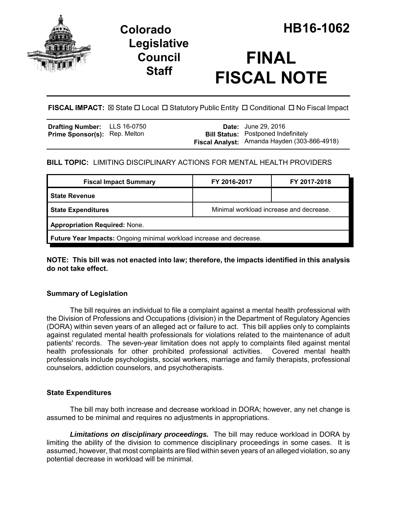

## **Legislative Council Staff**

# **FINAL FISCAL NOTE**

**FISCAL IMPACT:** ⊠ State □ Local □ Statutory Public Entity □ Conditional □ No Fiscal Impact

| <b>Drafting Number:</b>              | LLS 16-0750 |
|--------------------------------------|-------------|
| <b>Prime Sponsor(s): Rep. Melton</b> |             |

**Date:** June 29, 2016 **Bill Status:** Postponed Indefinitely **Fiscal Analyst:** Amanda Hayden (303-866-4918)

## **BILL TOPIC:** LIMITING DISCIPLINARY ACTIONS FOR MENTAL HEALTH PROVIDERS

| <b>Fiscal Impact Summary</b>                                         | FY 2016-2017                            | FY 2017-2018 |  |
|----------------------------------------------------------------------|-----------------------------------------|--------------|--|
| <b>State Revenue</b>                                                 |                                         |              |  |
| <b>State Expenditures</b>                                            | Minimal workload increase and decrease. |              |  |
| <b>Appropriation Required: None.</b>                                 |                                         |              |  |
| Future Year Impacts: Ongoing minimal workload increase and decrease. |                                         |              |  |

**NOTE: This bill was not enacted into law; therefore, the impacts identified in this analysis do not take effect.**

### **Summary of Legislation**

The bill requires an individual to file a complaint against a mental health professional with the Division of Professions and Occupations (division) in the Department of Regulatory Agencies (DORA) within seven years of an alleged act or failure to act. This bill applies only to complaints against regulated mental health professionals for violations related to the maintenance of adult patients' records. The seven-year limitation does not apply to complaints filed against mental health professionals for other prohibited professional activities. Covered mental health professionals include psychologists, social workers, marriage and family therapists, professional counselors, addiction counselors, and psychotherapists.

### **State Expenditures**

The bill may both increase and decrease workload in DORA; however, any net change is assumed to be minimal and requires no adjustments in appropriations.

*Limitations on disciplinary proceedings.* The bill may reduce workload in DORA by limiting the ability of the division to commence disciplinary proceedings in some cases. It is assumed, however, that most complaints are filed within seven years of an alleged violation, so any potential decrease in workload will be minimal.